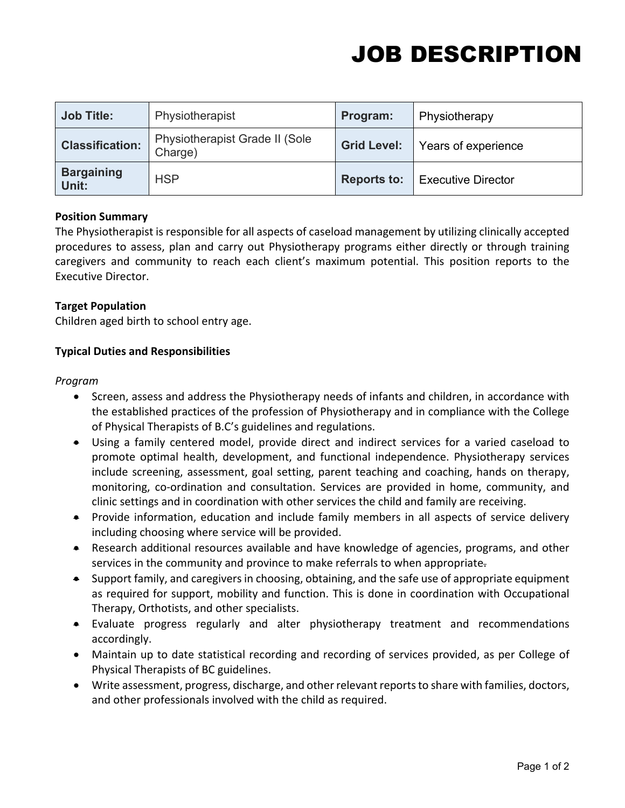## JOB DESCRIPTION

| <b>Job Title:</b>          | Physiotherapist                           | Program:           | Physiotherapy             |
|----------------------------|-------------------------------------------|--------------------|---------------------------|
| <b>Classification:</b>     | Physiotherapist Grade II (Sole<br>Charge) | <b>Grid Level:</b> | Years of experience       |
| <b>Bargaining</b><br>Unit: | <b>HSP</b>                                | <b>Reports to:</b> | <b>Executive Director</b> |

#### **Position Summary**

The Physiotherapist is responsible for all aspects of caseload management by utilizing clinically accepted procedures to assess, plan and carry out Physiotherapy programs either directly or through training caregivers and community to reach each client's maximum potential. This position reports to the Executive Director.

#### **Target Population**

Children aged birth to school entry age.

#### **Typical Duties and Responsibilities**

#### *Program*

- Screen, assess and address the Physiotherapy needs of infants and children, in accordance with the established practices of the profession of Physiotherapy and in compliance with the College of Physical Therapists of B.C's guidelines and regulations.
- Using a family centered model, provide direct and indirect services for a varied caseload to promote optimal health, development, and functional independence. Physiotherapy services include screening, assessment, goal setting, parent teaching and coaching, hands on therapy, monitoring, co-ordination and consultation. Services are provided in home, community, and clinic settings and in coordination with other services the child and family are receiving.
- Provide information, education and include family members in all aspects of service delivery including choosing where service will be provided.
- Research additional resources available and have knowledge of agencies, programs, and other services in the community and province to make referrals to when appropriate.
- Support family, and caregivers in choosing, obtaining, and the safe use of appropriate equipment as required for support, mobility and function. This is done in coordination with Occupational Therapy, Orthotists, and other specialists.
- Evaluate progress regularly and alter physiotherapy treatment and recommendations accordingly.
- Maintain up to date statistical recording and recording of services provided, as per College of Physical Therapists of BC guidelines.
- Write assessment, progress, discharge, and other relevant reports to share with families, doctors, and other professionals involved with the child as required.